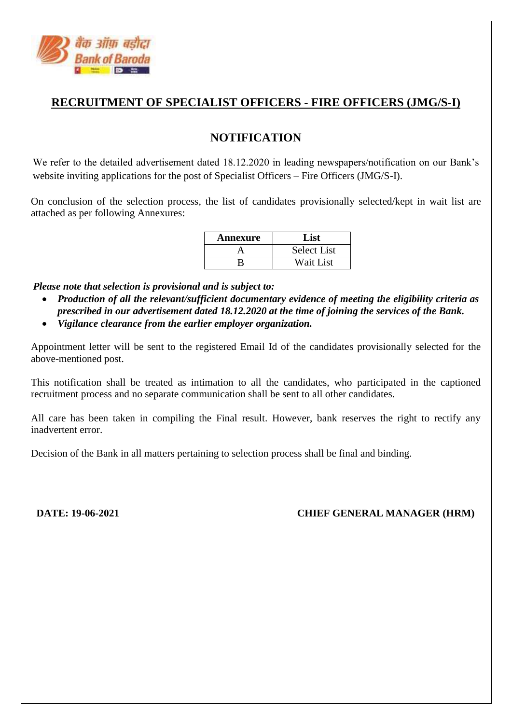

## **RECRUITMENT OF SPECIALIST OFFICERS - FIRE OFFICERS (JMG/S-I)**

## **NOTIFICATION**

We refer to the detailed advertisement dated 18.12.2020 in leading newspapers/notification on our Bank's website inviting applications for the post of Specialist Officers – Fire Officers (JMG/S-I).

On conclusion of the selection process, the list of candidates provisionally selected/kept in wait list are attached as per following Annexures:

| Annexure | List               |
|----------|--------------------|
|          | <b>Select List</b> |
|          | Wait List          |

*Please note that selection is provisional and is subject to:*

- *Production of all the relevant/sufficient documentary evidence of meeting the eligibility criteria as prescribed in our advertisement dated 18.12.2020 at the time of joining the services of the Bank.*
- *Vigilance clearance from the earlier employer organization.*

Appointment letter will be sent to the registered Email Id of the candidates provisionally selected for the above-mentioned post.

This notification shall be treated as intimation to all the candidates, who participated in the captioned recruitment process and no separate communication shall be sent to all other candidates.

All care has been taken in compiling the Final result. However, bank reserves the right to rectify any inadvertent error.

Decision of the Bank in all matters pertaining to selection process shall be final and binding.

**DATE: 19-06-2021 CHIEF GENERAL MANAGER (HRM)**